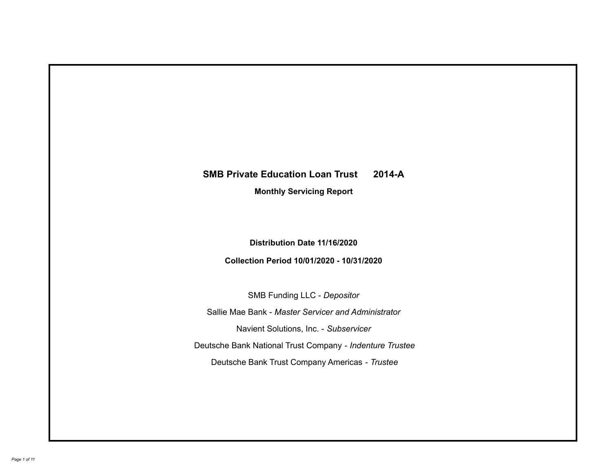# **SMB Private Education Loan Trust 2014-A Monthly Servicing Report**

# **Distribution Date 11/16/2020**

# **Collection Period 10/01/2020 - 10/31/2020**

SMB Funding LLC - *Depositor*

Sallie Mae Bank - *Master Servicer and Administrator*

Navient Solutions, Inc. - *Subservicer*

Deutsche Bank National Trust Company - *Indenture Trustee*

Deutsche Bank Trust Company Americas - *Trustee*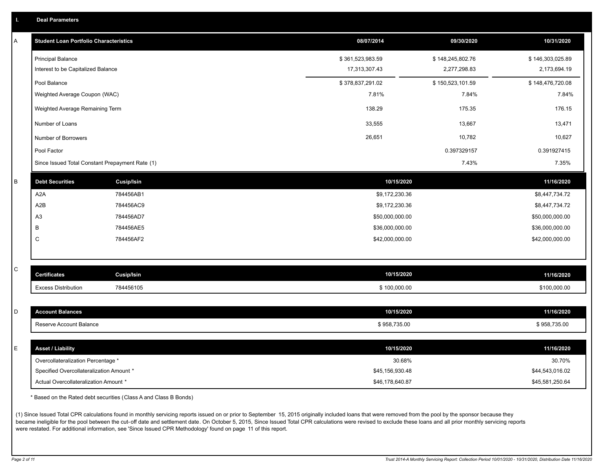| <b>Deal Parameters</b> |
|------------------------|
|------------------------|

| Α       | <b>Student Loan Portfolio Characteristics</b>   |                   | 08/07/2014       | 09/30/2020       | 10/31/2020       |
|---------|-------------------------------------------------|-------------------|------------------|------------------|------------------|
|         | <b>Principal Balance</b>                        |                   | \$361,523,983.59 | \$148,245,802.76 | \$146,303,025.89 |
|         | Interest to be Capitalized Balance              |                   | 17,313,307.43    | 2,277,298.83     | 2,173,694.19     |
|         | Pool Balance                                    |                   | \$378,837,291.02 | \$150,523,101.59 | \$148,476,720.08 |
|         | Weighted Average Coupon (WAC)                   |                   | 7.81%            | 7.84%            | 7.84%            |
|         | Weighted Average Remaining Term                 |                   | 138.29           | 175.35           | 176.15           |
|         | Number of Loans                                 |                   | 33,555           | 13,667           | 13,471           |
|         | Number of Borrowers                             |                   | 26,651           | 10,782           | 10,627           |
|         | Pool Factor                                     |                   |                  | 0.397329157      | 0.391927415      |
|         | Since Issued Total Constant Prepayment Rate (1) |                   |                  | 7.43%            | 7.35%            |
| $\sf B$ | <b>Debt Securities</b>                          | <b>Cusip/Isin</b> | 10/15/2020       |                  | 11/16/2020       |
|         | A <sub>2</sub> A                                | 784456AB1         | \$9,172,230.36   |                  | \$8,447,734.72   |
|         | A <sub>2</sub> B                                | 784456AC9         | \$9,172,230.36   |                  | \$8,447,734.72   |
|         | A3                                              | 784456AD7         | \$50,000,000.00  |                  | \$50,000,000.00  |
|         | В                                               | 784456AE5         | \$36,000,000.00  |                  | \$36,000,000.00  |
|         | C                                               | 784456AF2         | \$42,000,000.00  |                  | \$42,000,000.00  |
|         |                                                 |                   |                  |                  |                  |
| C       | <b>Certificates</b>                             | Cusip/Isin        | 10/15/2020       |                  | 11/16/2020       |
|         | <b>Excess Distribution</b>                      | 784456105         | \$100,000.00     |                  | \$100,000.00     |
|         |                                                 |                   |                  |                  |                  |
| D       | <b>Account Balances</b>                         |                   | 10/15/2020       |                  | 11/16/2020       |
|         | Reserve Account Balance                         |                   | \$958,735.00     |                  | \$958,735.00     |
|         |                                                 |                   |                  |                  |                  |
| Ε       | <b>Asset / Liability</b>                        |                   | 10/15/2020       |                  | 11/16/2020       |
|         | Overcollateralization Percentage *              |                   | 30.68%           |                  | 30.70%           |
|         | Specified Overcollateralization Amount *        |                   | \$45,156,930.48  |                  | \$44,543,016.02  |
|         | Actual Overcollateralization Amount *           |                   | \$46.178.640.87  |                  | \$45,581,250.64  |

\* Based on the Rated debt securities (Class A and Class B Bonds)

(1) Since Issued Total CPR calculations found in monthly servicing reports issued on or prior to September 15, 2015 originally included loans that were removed from the pool by the sponsor because they became ineligible for the pool between the cut-off date and settlement date. On October 5, 2015, Since Issued Total CPR calculations were revised to exclude these loans and all prior monthly servicing reports were restated. For additional information, see 'Since Issued CPR Methodology' found on page 11 of this report.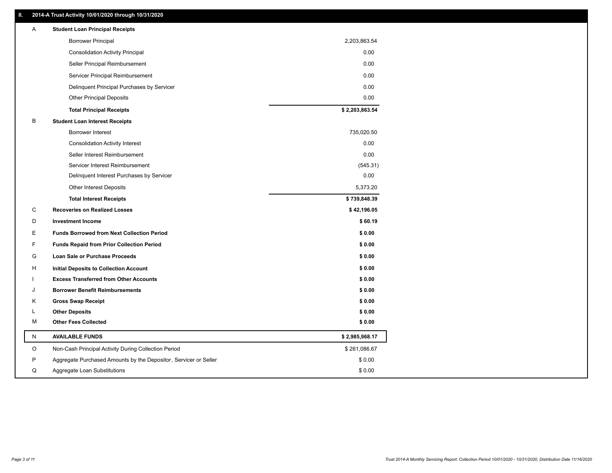### **II. 2014-A Trust Activity 10/01/2020 through 10/31/2020**

| Α  | <b>Student Loan Principal Receipts</b>                           |                |
|----|------------------------------------------------------------------|----------------|
|    | <b>Borrower Principal</b>                                        | 2,203,863.54   |
|    | <b>Consolidation Activity Principal</b>                          | 0.00           |
|    | Seller Principal Reimbursement                                   | 0.00           |
|    | Servicer Principal Reimbursement                                 | 0.00           |
|    | Delinquent Principal Purchases by Servicer                       | 0.00           |
|    | <b>Other Principal Deposits</b>                                  | 0.00           |
|    | <b>Total Principal Receipts</b>                                  | \$2,203,863.54 |
| В  | <b>Student Loan Interest Receipts</b>                            |                |
|    | Borrower Interest                                                | 735,020.50     |
|    | <b>Consolidation Activity Interest</b>                           | 0.00           |
|    | Seller Interest Reimbursement                                    | 0.00           |
|    | Servicer Interest Reimbursement                                  | (545.31)       |
|    | Delinquent Interest Purchases by Servicer                        | 0.00           |
|    | Other Interest Deposits                                          | 5,373.20       |
|    | <b>Total Interest Receipts</b>                                   | \$739,848.39   |
| C  | <b>Recoveries on Realized Losses</b>                             | \$42,196.05    |
| D  | <b>Investment Income</b>                                         | \$60.19        |
| Е  | <b>Funds Borrowed from Next Collection Period</b>                | \$0.00         |
| F  | <b>Funds Repaid from Prior Collection Period</b>                 | \$0.00         |
| G  | Loan Sale or Purchase Proceeds                                   | \$0.00         |
| н  | <b>Initial Deposits to Collection Account</b>                    | \$0.00         |
|    | <b>Excess Transferred from Other Accounts</b>                    | \$0.00         |
| ۱. | <b>Borrower Benefit Reimbursements</b>                           | \$0.00         |
| Κ  | <b>Gross Swap Receipt</b>                                        | \$0.00         |
| Г  | <b>Other Deposits</b>                                            | \$0.00         |
| M  | <b>Other Fees Collected</b>                                      | \$0.00         |
| N  | <b>AVAILABLE FUNDS</b>                                           | \$2,985,968.17 |
| O  | Non-Cash Principal Activity During Collection Period             | \$261,086.67   |
| P  | Aggregate Purchased Amounts by the Depositor, Servicer or Seller | \$0.00         |
| Q  | Aggregate Loan Substitutions                                     | \$0.00         |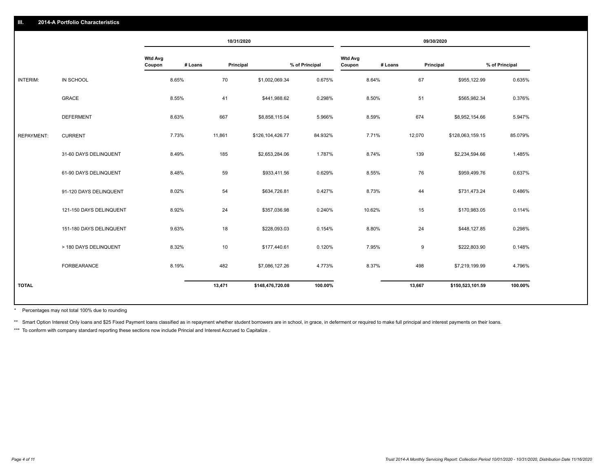|                   |                         |                          |         | 10/31/2020 |                  |                |                          |         | 09/30/2020 |                  |                |
|-------------------|-------------------------|--------------------------|---------|------------|------------------|----------------|--------------------------|---------|------------|------------------|----------------|
|                   |                         | <b>Wtd Avg</b><br>Coupon | # Loans | Principal  |                  | % of Principal | <b>Wtd Avg</b><br>Coupon | # Loans | Principal  |                  | % of Principal |
| INTERIM:          | IN SCHOOL               | 8.65%                    |         | 70         | \$1,002,069.34   | 0.675%         |                          | 8.64%   | 67         | \$955,122.99     | 0.635%         |
|                   | GRACE                   | 8.55%                    |         | 41         | \$441,988.62     | 0.298%         |                          | 8.50%   | 51         | \$565,982.34     | 0.376%         |
|                   | <b>DEFERMENT</b>        | 8.63%                    |         | 667        | \$8,858,115.04   | 5.966%         |                          | 8.59%   | 674        | \$8,952,154.66   | 5.947%         |
| <b>REPAYMENT:</b> | <b>CURRENT</b>          | 7.73%                    |         | 11,861     | \$126,104,426.77 | 84.932%        |                          | 7.71%   | 12,070     | \$128,063,159.15 | 85.079%        |
|                   | 31-60 DAYS DELINQUENT   | 8.49%                    |         | 185        | \$2,653,284.06   | 1.787%         |                          | 8.74%   | 139        | \$2,234,594.66   | 1.485%         |
|                   | 61-90 DAYS DELINQUENT   | 8.48%                    |         | 59         | \$933,411.56     | 0.629%         |                          | 8.55%   | 76         | \$959,499.76     | 0.637%         |
|                   | 91-120 DAYS DELINQUENT  | 8.02%                    |         | 54         | \$634,726.81     | 0.427%         |                          | 8.73%   | 44         | \$731,473.24     | 0.486%         |
|                   | 121-150 DAYS DELINQUENT | 8.92%                    |         | 24         | \$357,036.98     | 0.240%         |                          | 10.62%  | 15         | \$170,983.05     | 0.114%         |
|                   | 151-180 DAYS DELINQUENT | 9.63%                    |         | 18         | \$228,093.03     | 0.154%         |                          | 8.80%   | 24         | \$448,127.85     | 0.298%         |
|                   | > 180 DAYS DELINQUENT   | 8.32%                    |         | 10         | \$177,440.61     | 0.120%         |                          | 7.95%   | 9          | \$222,803.90     | 0.148%         |
|                   | FORBEARANCE             | 8.19%                    |         | 482        | \$7,086,127.26   | 4.773%         |                          | 8.37%   | 498        | \$7,219,199.99   | 4.796%         |
| <b>TOTAL</b>      |                         |                          |         | 13,471     | \$148,476,720.08 | 100.00%        |                          |         | 13,667     | \$150,523,101.59 | 100.00%        |
|                   |                         |                          |         |            |                  |                |                          |         |            |                  |                |

Percentages may not total 100% due to rounding \*

\*\* Smart Option Interest Only loans and \$25 Fixed Payment loans classified as in repayment whether student borrowers are in school, in grace, in deferment or required to make full principal and interest payments on their l

\*\*\* To conform with company standard reporting these sections now include Princial and Interest Accrued to Capitalize.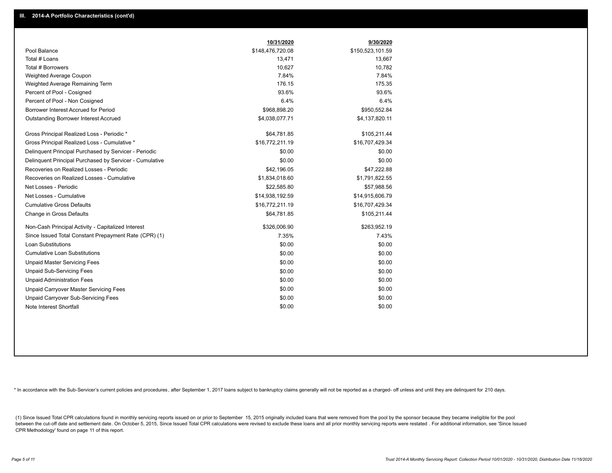|                                                         | 10/31/2020       | 9/30/2020        |
|---------------------------------------------------------|------------------|------------------|
| Pool Balance                                            | \$148,476,720.08 | \$150,523,101.59 |
| Total # Loans                                           | 13,471           | 13,667           |
| Total # Borrowers                                       | 10,627           | 10,782           |
| Weighted Average Coupon                                 | 7.84%            | 7.84%            |
| Weighted Average Remaining Term                         | 176.15           | 175.35           |
| Percent of Pool - Cosigned                              | 93.6%            | 93.6%            |
| Percent of Pool - Non Cosigned                          | 6.4%             | 6.4%             |
| Borrower Interest Accrued for Period                    | \$968,898.20     | \$950,552.84     |
| Outstanding Borrower Interest Accrued                   | \$4,038,077.71   | \$4,137,820.11   |
| Gross Principal Realized Loss - Periodic *              | \$64,781.85      | \$105,211.44     |
| Gross Principal Realized Loss - Cumulative *            | \$16,772,211.19  | \$16,707,429.34  |
| Delinquent Principal Purchased by Servicer - Periodic   | \$0.00           | \$0.00           |
| Delinguent Principal Purchased by Servicer - Cumulative | \$0.00           | \$0.00           |
| Recoveries on Realized Losses - Periodic                | \$42.196.05      | \$47,222.88      |
| Recoveries on Realized Losses - Cumulative              | \$1,834,018.60   | \$1,791,822.55   |
| Net Losses - Periodic                                   | \$22,585.80      | \$57,988.56      |
| Net Losses - Cumulative                                 | \$14,938,192.59  | \$14,915,606.79  |
| <b>Cumulative Gross Defaults</b>                        | \$16,772,211.19  | \$16,707,429.34  |
| Change in Gross Defaults                                | \$64,781.85      | \$105,211.44     |
| Non-Cash Principal Activity - Capitalized Interest      | \$326,006.90     | \$263,952.19     |
| Since Issued Total Constant Prepayment Rate (CPR) (1)   | 7.35%            | 7.43%            |
| Loan Substitutions                                      | \$0.00           | \$0.00           |
| <b>Cumulative Loan Substitutions</b>                    | \$0.00           | \$0.00           |
| <b>Unpaid Master Servicing Fees</b>                     | \$0.00           | \$0.00           |
| <b>Unpaid Sub-Servicing Fees</b>                        | \$0.00           | \$0.00           |
| <b>Unpaid Administration Fees</b>                       | \$0.00           | \$0.00           |
| Unpaid Carryover Master Servicing Fees                  | \$0.00           | \$0.00           |
| Unpaid Carryover Sub-Servicing Fees                     | \$0.00           | \$0.00           |
| Note Interest Shortfall                                 | \$0.00           | \$0.00           |

\* In accordance with the Sub-Servicer's current policies and procedures, after September 1, 2017 loans subject to bankruptcy claims generally will not be reported as a charged- off unless and until they are delinquent for

(1) Since Issued Total CPR calculations found in monthly servicing reports issued on or prior to September 15, 2015 originally included loans that were removed from the pool by the sponsor because they became ineligible fo between the cut-off date and settlement date. On October 5, 2015, Since Issued Total CPR calculations were revised to exclude these loans and all prior monthly servicing reports were restated. For additional information, s CPR Methodology' found on page 11 of this report.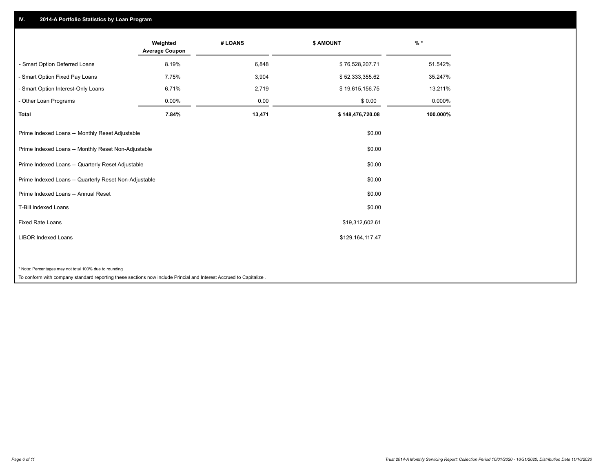## **IV. 2014-A Portfolio Statistics by Loan Program**

|                                                        | Weighted<br><b>Average Coupon</b> | # LOANS | <b>\$ AMOUNT</b> | $%$ *    |
|--------------------------------------------------------|-----------------------------------|---------|------------------|----------|
| - Smart Option Deferred Loans                          | 8.19%                             | 6,848   | \$76,528,207.71  | 51.542%  |
| - Smart Option Fixed Pay Loans                         | 7.75%                             | 3,904   | \$52,333,355.62  | 35.247%  |
| - Smart Option Interest-Only Loans                     | 6.71%                             | 2,719   | \$19,615,156.75  | 13.211%  |
| - Other Loan Programs                                  | 0.00%                             | 0.00    | \$0.00           | 0.000%   |
| <b>Total</b>                                           | 7.84%                             | 13,471  | \$148,476,720.08 | 100.000% |
| Prime Indexed Loans -- Monthly Reset Adjustable        |                                   |         | \$0.00           |          |
| Prime Indexed Loans -- Monthly Reset Non-Adjustable    |                                   |         | \$0.00           |          |
| Prime Indexed Loans -- Quarterly Reset Adjustable      |                                   |         | \$0.00           |          |
| Prime Indexed Loans -- Quarterly Reset Non-Adjustable  |                                   |         | \$0.00           |          |
| Prime Indexed Loans -- Annual Reset                    |                                   |         | \$0.00           |          |
| <b>T-Bill Indexed Loans</b>                            |                                   |         | \$0.00           |          |
| <b>Fixed Rate Loans</b>                                |                                   |         | \$19,312,602.61  |          |
| <b>LIBOR Indexed Loans</b>                             |                                   |         | \$129,164,117.47 |          |
|                                                        |                                   |         |                  |          |
| * Note: Percentages may not total 100% due to rounding |                                   |         |                  |          |

To conform with company standard reporting these sections now include Princial and Interest Accrued to Capitalize .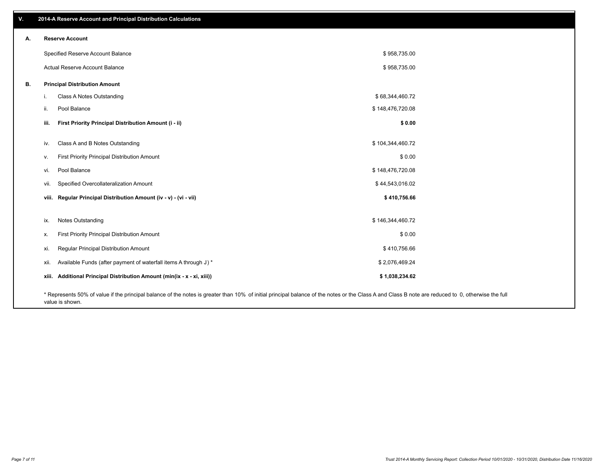| V. | 2014-A Reserve Account and Principal Distribution Calculations                                                                                                                                     |                  |  |
|----|----------------------------------------------------------------------------------------------------------------------------------------------------------------------------------------------------|------------------|--|
| А. | <b>Reserve Account</b>                                                                                                                                                                             |                  |  |
|    | Specified Reserve Account Balance                                                                                                                                                                  | \$958,735.00     |  |
|    | Actual Reserve Account Balance                                                                                                                                                                     | \$958,735.00     |  |
| В. | <b>Principal Distribution Amount</b>                                                                                                                                                               |                  |  |
|    | Class A Notes Outstanding<br>j.                                                                                                                                                                    | \$68,344,460.72  |  |
|    | Pool Balance<br>ii.                                                                                                                                                                                | \$148,476,720.08 |  |
|    | First Priority Principal Distribution Amount (i - ii)<br>iii.                                                                                                                                      | \$0.00           |  |
|    | Class A and B Notes Outstanding<br>iv.                                                                                                                                                             | \$104,344,460.72 |  |
|    | First Priority Principal Distribution Amount<br>V.                                                                                                                                                 | \$0.00           |  |
|    | Pool Balance<br>vi.                                                                                                                                                                                | \$148,476,720.08 |  |
|    | Specified Overcollateralization Amount<br>vii.                                                                                                                                                     | \$44,543,016.02  |  |
|    | viii. Regular Principal Distribution Amount (iv - v) - (vi - vii)                                                                                                                                  | \$410,756.66     |  |
|    | Notes Outstanding<br>ix.                                                                                                                                                                           | \$146,344,460.72 |  |
|    | First Priority Principal Distribution Amount<br>Х.                                                                                                                                                 | \$0.00           |  |
|    | Regular Principal Distribution Amount<br>xi.                                                                                                                                                       | \$410,756.66     |  |
|    | Available Funds (after payment of waterfall items A through J) *<br>xii.                                                                                                                           | \$2,076,469.24   |  |
|    | xiii. Additional Principal Distribution Amount (min(ix - x - xi, xiii))                                                                                                                            | \$1,038,234.62   |  |
|    | * Represents 50% of value if the principal balance of the notes is greater than 10% of initial principal balance of the notes or the Class A and Class B note are reduced to 0, otherwise the full |                  |  |

value is shown.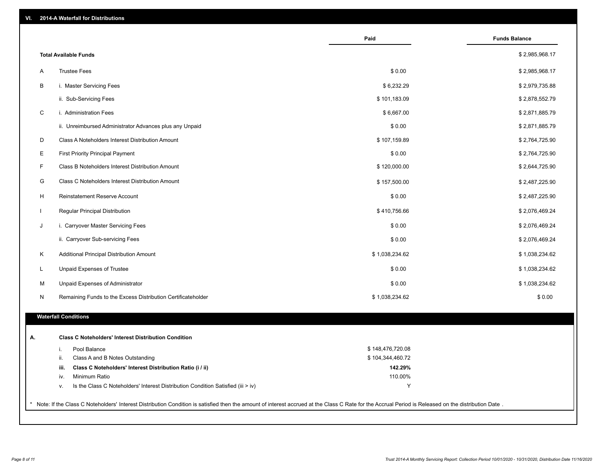|              |                                                                                        | Paid             | <b>Funds Balance</b> |
|--------------|----------------------------------------------------------------------------------------|------------------|----------------------|
|              | <b>Total Available Funds</b>                                                           |                  | \$2,985,968.17       |
| A            | <b>Trustee Fees</b>                                                                    | \$0.00           | \$2,985,968.17       |
| В            | i. Master Servicing Fees                                                               | \$6,232.29       | \$2,979,735.88       |
|              | ii. Sub-Servicing Fees                                                                 | \$101,183.09     | \$2,878,552.79       |
| $\mathsf C$  | i. Administration Fees                                                                 | \$6,667.00       | \$2,871,885.79       |
|              | ii. Unreimbursed Administrator Advances plus any Unpaid                                | \$0.00           | \$2,871,885.79       |
| D            | Class A Noteholders Interest Distribution Amount                                       | \$107,159.89     | \$2,764,725.90       |
| Е            | <b>First Priority Principal Payment</b>                                                | \$0.00           | \$2,764,725.90       |
| F            | Class B Noteholders Interest Distribution Amount                                       | \$120,000.00     | \$2,644,725.90       |
| G            | Class C Noteholders Interest Distribution Amount                                       | \$157,500.00     | \$2,487,225.90       |
| H            | <b>Reinstatement Reserve Account</b>                                                   | \$0.00           | \$2,487,225.90       |
| $\mathbf{I}$ | Regular Principal Distribution                                                         | \$410,756.66     | \$2,076,469.24       |
| J            | i. Carryover Master Servicing Fees                                                     | \$0.00           | \$2,076,469.24       |
|              | ii. Carryover Sub-servicing Fees                                                       | \$0.00           | \$2,076,469.24       |
| Κ            | Additional Principal Distribution Amount                                               | \$1,038,234.62   | \$1,038,234.62       |
| L            | Unpaid Expenses of Trustee                                                             | \$0.00           | \$1,038,234.62       |
| M            | Unpaid Expenses of Administrator                                                       | \$0.00           | \$1,038,234.62       |
| N            | Remaining Funds to the Excess Distribution Certificateholder                           | \$1,038,234.62   | \$0.00               |
|              |                                                                                        |                  |                      |
|              | <b>Waterfall Conditions</b>                                                            |                  |                      |
| А.           | <b>Class C Noteholders' Interest Distribution Condition</b>                            |                  |                      |
|              | Pool Balance<br>i.                                                                     | \$148,476,720.08 |                      |
|              | Class A and B Notes Outstanding<br>ii.                                                 | \$104,344,460.72 |                      |
|              | Class C Noteholders' Interest Distribution Ratio (i / ii)<br>iii.                      | 142.29%          |                      |
|              | Minimum Ratio<br>iv.                                                                   | 110.00%          |                      |
|              | Is the Class C Noteholders' Interest Distribution Condition Satisfied (iii > iv)<br>v. | Υ                |                      |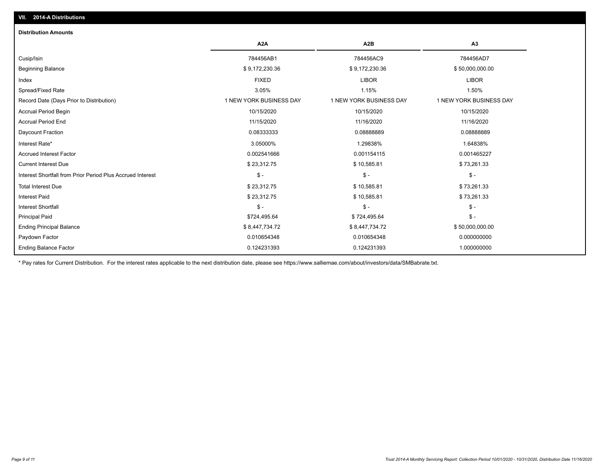| <b>Distribution Amounts</b>                                |                         |                         |                         |
|------------------------------------------------------------|-------------------------|-------------------------|-------------------------|
|                                                            | A <sub>2</sub> A        | A <sub>2</sub> B        | A3                      |
| Cusip/Isin                                                 | 784456AB1               | 784456AC9               | 784456AD7               |
| <b>Beginning Balance</b>                                   | \$9,172,230.36          | \$9,172,230.36          | \$50,000,000.00         |
| Index                                                      | <b>FIXED</b>            | <b>LIBOR</b>            | <b>LIBOR</b>            |
| Spread/Fixed Rate                                          | 3.05%                   | 1.15%                   | 1.50%                   |
| Record Date (Days Prior to Distribution)                   | 1 NEW YORK BUSINESS DAY | 1 NEW YORK BUSINESS DAY | 1 NEW YORK BUSINESS DAY |
| <b>Accrual Period Begin</b>                                | 10/15/2020              | 10/15/2020              | 10/15/2020              |
| <b>Accrual Period End</b>                                  | 11/15/2020              | 11/16/2020              | 11/16/2020              |
| Daycount Fraction                                          | 0.08333333              | 0.08888889              | 0.08888889              |
| Interest Rate*                                             | 3.05000%                | 1.29838%                | 1.64838%                |
| <b>Accrued Interest Factor</b>                             | 0.002541666             | 0.001154115             | 0.001465227             |
| <b>Current Interest Due</b>                                | \$23,312.75             | \$10,585.81             | \$73,261.33             |
| Interest Shortfall from Prior Period Plus Accrued Interest | $\mathcal{S}$ -         | $\frac{1}{2}$           | $\mathcal{S}$ -         |
| <b>Total Interest Due</b>                                  | \$23,312.75             | \$10,585.81             | \$73,261.33             |
| <b>Interest Paid</b>                                       | \$23,312.75             | \$10,585.81             | \$73,261.33             |
| <b>Interest Shortfall</b>                                  | $\frac{1}{2}$           | $\frac{1}{2}$           | $\mathcal{S}$ -         |
| <b>Principal Paid</b>                                      | \$724,495.64            | \$724,495.64            | $\mathcal{S}$ -         |
| <b>Ending Principal Balance</b>                            | \$8,447,734.72          | \$8,447,734.72          | \$50,000,000.00         |
| Paydown Factor                                             | 0.010654348             | 0.010654348             | 0.000000000             |
| <b>Ending Balance Factor</b>                               | 0.124231393             | 0.124231393             | 1.000000000             |

\* Pay rates for Current Distribution. For the interest rates applicable to the next distribution date, please see https://www.salliemae.com/about/investors/data/SMBabrate.txt.

**VII. 2014-A Distributions**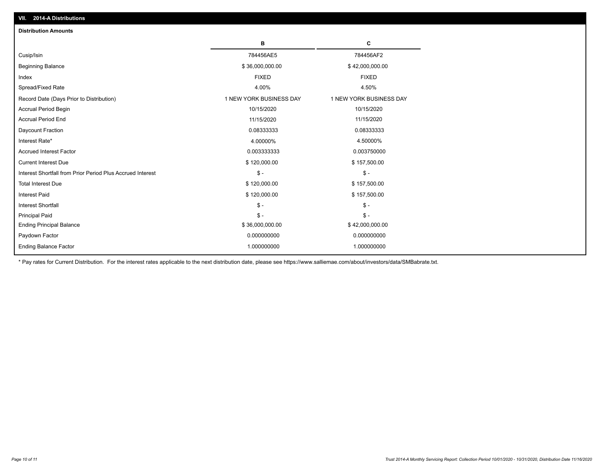| <b>Distribution Amounts</b>                                |                         |                         |
|------------------------------------------------------------|-------------------------|-------------------------|
|                                                            | в                       | C                       |
| Cusip/Isin                                                 | 784456AE5               | 784456AF2               |
| <b>Beginning Balance</b>                                   | \$36,000,000.00         | \$42,000,000.00         |
| Index                                                      | <b>FIXED</b>            | <b>FIXED</b>            |
| Spread/Fixed Rate                                          | 4.00%                   | 4.50%                   |
| Record Date (Days Prior to Distribution)                   | 1 NEW YORK BUSINESS DAY | 1 NEW YORK BUSINESS DAY |
| <b>Accrual Period Begin</b>                                | 10/15/2020              | 10/15/2020              |
| <b>Accrual Period End</b>                                  | 11/15/2020              | 11/15/2020              |
| Daycount Fraction                                          | 0.08333333              | 0.08333333              |
| Interest Rate*                                             | 4.00000%                | 4.50000%                |
| <b>Accrued Interest Factor</b>                             | 0.003333333             | 0.003750000             |
| <b>Current Interest Due</b>                                | \$120,000.00            | \$157,500.00            |
| Interest Shortfall from Prior Period Plus Accrued Interest | $\frac{1}{2}$           | $\mathbb{S}$ -          |
| <b>Total Interest Due</b>                                  | \$120,000.00            | \$157,500.00            |
| <b>Interest Paid</b>                                       | \$120,000.00            | \$157,500.00            |
| <b>Interest Shortfall</b>                                  | $\mathcal{S}$ -         | $\frac{2}{3}$ -         |
| <b>Principal Paid</b>                                      | $\mathsf{\$}$ -         | $$ -$                   |
| <b>Ending Principal Balance</b>                            | \$36,000,000.00         | \$42,000,000.00         |
| Paydown Factor                                             | 0.000000000             | 0.000000000             |
| <b>Ending Balance Factor</b>                               | 1.000000000             | 1.000000000             |

\* Pay rates for Current Distribution. For the interest rates applicable to the next distribution date, please see https://www.salliemae.com/about/investors/data/SMBabrate.txt.

**VII. 2014-A Distributions**